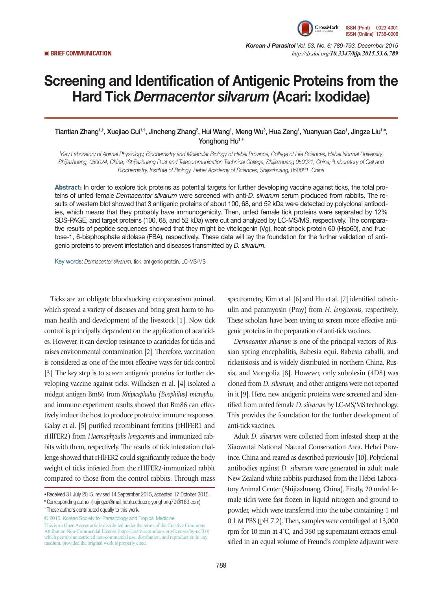

*Korean J Parasitol Vol. 53, No. 6: 789-793, December 2015*  ▣ **BRIEF COMMUNICATION** *http://dx.doi.org/10.3347/kjp.2015.53.6.789*

## Screening and Identification of Antigenic Proteins from the Hard Tick *Dermacentor silvarum* (Acari: Ixodidae)

Tiantian Zhang<sup>1,†</sup>, Xuejiao Cui<sup>1,†</sup>, Jincheng Zhang<sup>2</sup>, Hui Wang<sup>1</sup>, Meng Wu<sup>3</sup>, Hua Zeng<sup>1</sup>, Yuanyuan Cao<sup>1</sup>, Jingze Liu<sup>1,</sup>\*, Yonghong Hu<sup>1,\*</sup>

*1 Key Laboratory of Animal Physiology, Biochemistry and Molecular Biology of Hebei Province, College of Life Sciences, Hebei Normal University,*  Shijiazhuang, 050024, China; <sup>2</sup>Shijiazhuang Post and Telecommunication Technical College, Shijiazhuang 050021, China; <sup>3</sup>Laboratory of Cell and *Biochemistry, Institute of Biology, Hebei Academy of Sciences, Shijiazhuang, 050081, China*

**Abstract:** In order to explore tick proteins as potential targets for further developing vaccine against ticks, the total proteins of unfed female *Dermacentor silvarum* were screened with anti-*D. silvarum* serum produced from rabbits. The results of western blot showed that 3 antigenic proteins of about 100, 68, and 52 kDa were detected by polyclonal antibodies, which means that they probably have immunogenicity. Then, unfed female tick proteins were separated by 12% SDS-PAGE, and target proteins (100, 68, and 52 kDa) were cut and analyzed by LC-MS/MS, respectively. The comparative results of peptide sequences showed that they might be vitellogenin (Vg), heat shock protein 60 (Hsp60), and fructose-1, 6-bisphosphate aldolase (FBA), respectively. These data will lay the foundation for the further validation of antigenic proteins to prevent infestation and diseases transmitted by *D. silvarum*.

Key words: *Dermacentor silvarum*, tick, antigenic protein, LC-MS/MS

Ticks are an obligate bloodsucking ectoparastism animal, which spread a variety of diseases and bring great harm to human health and development of the livestock [1]. Now tick control is principally dependent on the application of acaricides. However, it can develop resistance to acaricides for ticks and raises environmental contamination [2]. Therefore, vaccination is considered as one of the most effective ways for tick control [3]. The key step is to screen antigenic proteins for further developing vaccine against ticks. Willadsen et al. [4] isolated a midgut antigen Bm86 from *Rhipicephalus (Boophilus) microplus*, and immune experiment results showed that Bm86 can effectively induce the host to produce protective immune responses. Galay et al. [5] purified recombinant ferritins (rHlFER1 and rHlFER2) from *Haemaphysalis longicornis* and immunized rabbits with them, respectively. The results of tick infestation challenge showed that rHlFER2 could significantly reduce the body weight of ticks infested from the rHlFER2-immunized rabbit compared to those from the control rabbits. Through mass

© 2015, Korean Society for Parasitology and Tropical Medicine This is an Open Access article distributed under the terms of the Creative Commons Attribution Non-Commercial License (http://creativecommons.org/licenses/by-nc/3.0) which permits unrestricted non-commercial use, distribution, and reproduction in any medium, provided the original work is properly cited.

spectrometry, Kim et al. [6] and Hu et al. [7] identified calreticulin and paramyosin (Pmy) from *H. longicornis*, respectively. These scholars have been trying to screen more effective antigenic proteins in the preparation of anti-tick vaccines.

*Dermacentor silvarum* is one of the principal vectors of Russian spring encephalitis, Babesia equi, Babesia caballi, and rickettsiosis and is widely distributed in northern China, Russia, and Mongolia [8]. However, only subolesin (4D8) was cloned from *D. silvarum*, and other antigens were not reported in it [9]. Here, new antigenic proteins were screened and identified from unfed female *D. silvarum* by LC-MS/MS technology. This provides the foundation for the further development of anti-tick vaccines.

Adult *D. silvarum* were collected from infested sheep at the Xiaowutai National Natural Conservation Area, Hebei Province, China and reared as described previously [10]. Polyclonal antibodies against *D. silvarum* were generated in adult male New Zealand white rabbits purchased from the Hebei Laboratory Animal Center (Shijiazhuang, China). Firstly, 20 unfed female ticks were fast frozen in liquid nitrogen and ground to powder, which were transferred into the tube containing 1 ml 0.1 M PBS (pH 7.2). Then, samples were centrifuged at 13,000 rpm for 10 min at 4˚C, and 360 μg supernatant extracts emulsified in an equal volume of Freund's complete adjuvant were

**<sup>•</sup>**Received 31 July 2015, revised 14 September 2015, accepted 17 October 2015.

**<sup>\*</sup>**Corresponding author (liujingze@mail.hebtu.edu.cn; yonghong79@163.com) **†** These authors contributed equally to this work.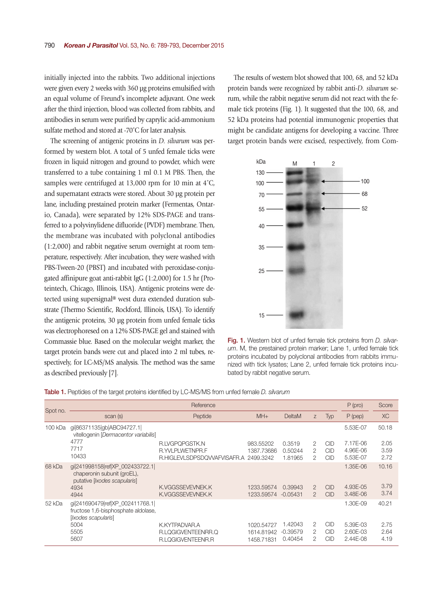initially injected into the rabbits. Two additional injections were given every 2 weeks with 360 μg proteins emulsified with an equal volume of Freund's incomplete adjuvant. One week after the third injection, blood was collected from rabbits, and antibodies in serum were purified by caprylic acid-ammonium sulfate method and stored at -70˚C for later analysis.

The screening of antigenic proteins in *D. silvarum* was performed by western blot. A total of 5 unfed female ticks were frozen in liquid nitrogen and ground to powder, which were transferred to a tube containing 1 ml 0.1 M PBS. Then, the samples were centrifuged at 13,000 rpm for 10 min at 4˚C, and supernatant extracts were stored. About 30 μg protein per lane, including prestained protein marker (Fermentas, Ontario, Canada), were separated by 12% SDS-PAGE and transferred to a polyvinylidene difluoride (PVDF) membrane. Then, the membrane was incubated with polyclonal antibodies (1:2,000) and rabbit negative serum overnight at room temperature, respectively. After incubation, they were washed with PBS-Tween-20 (PBST) and incubated with peroxidase-conjugated affinipure goat anti-rabbit IgG (1:2,000) for 1.5 hr (Proteintech, Chicago, Illinois, USA). Antigenic proteins were detected using supersignal® west dura extended duration substrate (Thermo Scientific, Rockford, Illinois, USA). To identify the antigenic proteins, 30 μg protein from unfed female ticks was electrophoresed on a 12% SDS-PAGE gel and stained with Commassie blue. Based on the molecular weight marker, the target protein bands were cut and placed into 2 ml tubes, respectively, for LC-MS/MS analysis. The method was the same as described previously [7].

The results of western blot showed that 100, 68, and 52 kDa protein bands were recognized by rabbit anti-*D. silvarum* serum, while the rabbit negative serum did not react with the female tick proteins (Fig. 1). It suggested that the 100, 68, and 52 kDa proteins had potential immunogenic properties that might be candidate antigens for developing a vaccine. Three target protein bands were excised, respectively, from Com-



**Fig. 1.** Western blot of unfed female tick proteins from *D. silvarum*. M, the prestained protein marker; Lane 1, unfed female tick proteins incubated by polyclonal antibodies from rabbits immunized with tick lysates; Lane 2, unfed female tick proteins incubated by rabbit negative serum.

|  |  | <b>Table 1.</b> Peptides of the target proteins identified by LC-MS/MS from unfed female <i>D. silvarum</i> |  |  |  |  |  |  |
|--|--|-------------------------------------------------------------------------------------------------------------|--|--|--|--|--|--|
|--|--|-------------------------------------------------------------------------------------------------------------|--|--|--|--|--|--|

|          |                                                                                                        | $P$ (pro)                             | Score      |            |               |            |           |           |
|----------|--------------------------------------------------------------------------------------------------------|---------------------------------------|------------|------------|---------------|------------|-----------|-----------|
| Spot no. | scan (s)                                                                                               | Peptide                               | $MH+$      | DeltaM     | Z.            | <b>Typ</b> | $P$ (pep) | <b>XC</b> |
| 100 kDa  | gi 86371135 gb ABC94727.1 <br>vitellogenin [Dermacentor variabilis]                                    |                                       |            |            |               |            | 5.53E-07  | 50.18     |
|          | 4777                                                                                                   | R.LVGPQPGSTK.N                        | 983.55202  | 0.3519     | 2             | <b>CID</b> | 7.17E-06  | 2.05      |
|          | 7717                                                                                                   | R.YVLPLWETNPR.F                       | 1387.73686 | 0.50244    | 2             | <b>CID</b> | 4.96E-06  | 3.59      |
|          | 10433                                                                                                  | R.HIGLEVLSDPSDQVVAFVISAFR.A 2499.3242 |            | 1.81965    | 2             | CID        | 5.53E-07  | 2.72      |
| 68 kDa   | gil241998158 ref XP_002433722.1 <br>chaperonin subunit (groEL),<br>putative <i>[Ixodes scapularis]</i> |                                       |            |            |               |            | 1.35E-06  | 10.16     |
|          | 4934                                                                                                   | K.VGGSSEVEVNEK.K                      | 1233.59574 | 0.39943    | $\mathcal{P}$ | <b>CID</b> | 4.93E-05  | 3.79      |
|          | 4944                                                                                                   | K.VGGSSEVEVNEK.K                      | 1233.59574 | $-0.05431$ | $\mathcal{P}$ | <b>CID</b> | 3.48E-06  | 3.74      |
| 52 kDa   | gi 241690479 ref XP_002411768.1 <br>fructose 1,6-bisphosphate aldolase,<br>[ <i>xodes scapularis</i> ] |                                       |            |            |               |            | 1.30E-09  | 40.21     |
|          | 5004                                                                                                   | K.KYTPADVAR.A                         | 1020.54727 | 1.42043    | 2             | <b>CID</b> | 5.39E-03  | 2.75      |
|          | 5505                                                                                                   | R.LQGIGVENTEENRR.Q                    | 1614.81942 | $-0.39579$ | 2             | <b>CID</b> | 2.60E-03  | 2.64      |
|          | 5607                                                                                                   | R.LQGIGVENTEENR.R                     | 1458.71831 | 0.40454    | 2             | <b>CID</b> | 2.44E-08  | 4.19      |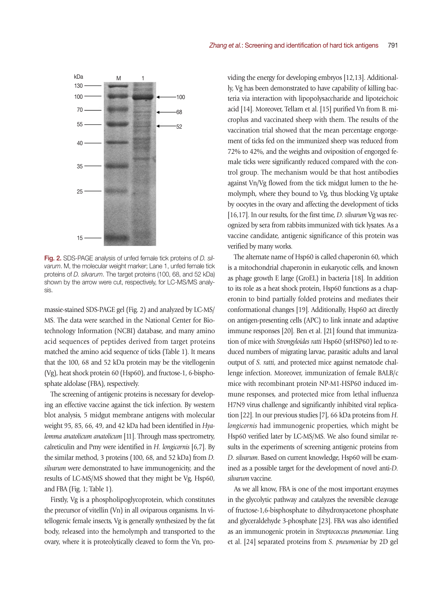

Fig. 2. SDS-PAGE analysis of unfed female tick proteins of *D. silvarum*. M, the molecular weight marker; Lane 1, unfed female tick proteins of *D. silvarum*. The target proteins (100, 68, and 52 kDa) shown by the arrow were cut, respectively, for LC-MS/MS analysis.

massie-stained SDS-PAGE gel (Fig. 2) and analyzed by LC-MS/ MS. The data were searched in the National Center for Biotechnology Information (NCBI) database, and many amino acid sequences of peptides derived from target proteins matched the amino acid sequence of ticks (Table 1). It means that the 100, 68 and 52 kDa protein may be the vitellogenin (Vg), heat shock protein 60 (Hsp60), and fructose-1, 6-bisphosphate aldolase (FBA), respectively.

The screening of antigenic proteins is necessary for developing an effective vaccine against the tick infection. By western blot analysis, 5 midgut membrane antigens with molecular weight 95, 85, 66, 49, and 42 kDa had been identified in *Hyalomma anatolicum anatolicum* [11]. Through mass spectrometry, calreticulin and Pmy were identified in *H. longicornis* [6,7]. By the similar method, 3 proteins (100, 68, and 52 kDa) from *D. silvarum* were demonstrated to have immunogenicity, and the results of LC-MS/MS showed that they might be Vg, Hsp60, and FBA (Fig. 1; Table 1).

Firstly, Vg is a phospholipoglycoprotein, which constitutes the precursor of vitellin (Vn) in all oviparous organisms. In vitellogenic female insects, Vg is generally synthesized by the fat body, released into the hemolymph and transported to the ovary, where it is proteolytically cleaved to form the Vn, providing the energy for developing embryos [12,13]. Additionally, Vg has been demonstrated to have capability of killing bacteria via interaction with lipopolysaccharide and lipoteichoic acid [14]. Moreover, Tellam et al. [15] purified Vn from B. microplus and vaccinated sheep with them. The results of the vaccination trial showed that the mean percentage engorgement of ticks fed on the immunized sheep was reduced from 72% to 42%, and the weights and oviposition of engorged female ticks were significantly reduced compared with the control group. The mechanism would be that host antibodies against Vn/Vg flowed from the tick midgut lumen to the hemolymph, where they bound to Vg, thus blocking Vg uptake by oocytes in the ovary and affecting the development of ticks [16,17]. In our results, for the first time, *D. silvarum* Vg was recognized by sera from rabbits immunized with tick lysates. As a vaccine candidate, antigenic significance of this protein was verified by many works.

The alternate name of Hsp60 is called chaperonin 60, which is a mitochondrial chaperonin in eukaryotic cells, and known as phage growth E large (GroEL) in bacteria [18]. In addition to its role as a heat shock protein, Hsp60 functions as a chaperonin to bind partially folded proteins and mediates their conformational changes [19]. Additionally, Hsp60 act directly on antigen-presenting cells (APC) to link innate and adaptive immune responses [20]. Ben et al. [21] found that immunization of mice with *Strongyloides ratti* Hsp60 (srHSP60) led to reduced numbers of migrating larvae, parasitic adults and larval output of *S. ratti*, and protected mice against nematode challenge infection. Moreover, immunization of female BALB/c mice with recombinant protein NP-M1-HSP60 induced immune responses, and protected mice from lethal influenza H7N9 virus challenge and significantly inhibited viral replication [22]. In our previous studies [7], 66 kDa proteins from *H. longicornis* had immunogenic properties, which might be Hsp60 verified later by LC-MS/MS. We also found similar results in the experiments of screening antigenic proteins from *D. silvarum*. Based on current knowledge, Hsp60 will be examined as a possible target for the development of novel anti-*D. silvarum* vaccine.

As we all know, FBA is one of the most important enzymes in the glycolytic pathway and catalyzes the reversible cleavage of fructose-1,6-bisphosphate to dihydroxyacetone phosphate and glyceraldehyde 3-phosphate [23]. FBA was also identified as an immunogenic protein in *Streptococcus pneumoniae*. Ling et al. [24] separated proteins from *S. pneumoniae* by 2D gel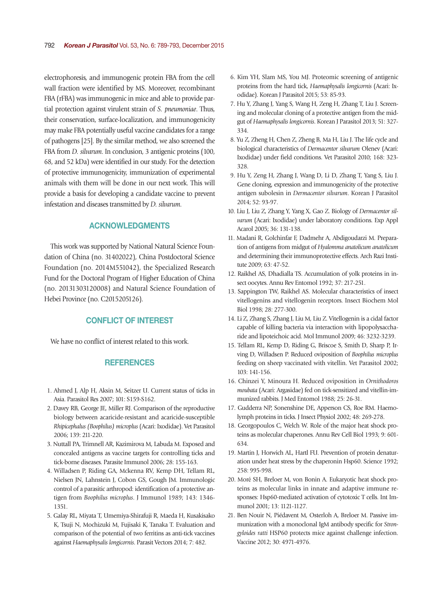electrophoresis, and immunogenic protein FBA from the cell wall fraction were identified by MS. Moreover, recombinant FBA (rFBA) was immunogenic in mice and able to provide partial protection against virulent strain of *S. pneumoniae*. Thus, their conservation, surface-localization, and immunogenicity may make FBA potentially useful vaccine candidates for a range of pathogens [25]. By the similar method, we also screened the FBA from *D. silvarum*. In conclusion, 3 antigenic proteins (100, 68, and 52 kDa) were identified in our study. For the detection of protective immunogenicity, immunization of experimental animals with them will be done in our next work. This will provide a basis for developing a candidate vaccine to prevent infestation and diseases transmitted by *D. silvarum*.

## ACKNOWLEDGMENTS

This work was supported by National Natural Science Foundation of China (no. 31402022), China Postdoctoral Science Foundation (no. 2014M551042), the Specialized Research Fund for the Doctoral Program of Higher Education of China (no. 20131303120008) and Natural Science Foundation of Hebei Province (no. C2015205126).

## CONFLICT OF INTEREST

We have no conflict of interest related to this work.

## **REFERENCES**

- 1. Ahmed J, Alp H, Aksin M, Seitzer U. Current status of ticks in Asia. Parasitol Res 2007; 101: S159-S162.
- 2. Davey RB, George JE, Miller RJ. Comparison of the reproductive biology between acaricide-resistant and acaricide-susceptible *Rhipicephalus (Boophilus) microplus* (Acari: Ixodidae). Vet Parasitol 2006; 139: 211-220.
- 3. Nuttall PA, Trimnell AR, Kazimirova M, Labuda M. Exposed and concealed antigens as vaccine targets for controlling ticks and tick-borne diseases. Parasite Immunol 2006; 28: 155-163.
- 4. Willadsen P, Riding GA, Mckenna RV, Kemp DH, Tellam RL, Nielsen JN, Lahnstein J, Cobon GS, Gough JM. Immunologic control of a parasitic arthropod: identification of a protective antigen from *Boophilus microplus*. J Immunol 1989; 143: 1346- 1351.
- 5. Galay RL, Miyata T, Umemiya-Shirafuji R, Maeda H, Kusakisako K, Tsuji N, Mochizuki M, Fujisaki K, Tanaka T. Evaluation and comparison of the potential of two ferritins as anti-tick vaccines against *Haemaphysalis longicornis*. Parasit Vectors 2014; 7: 482.
- 6. Kim YH, Slam MS, You MJ. Proteomic screening of antigenic proteins from the hard tick, *Haemaphysalis longicornis* (Acari: Ixodidae). Korean J Parasitol 2015; 53: 85-93.
- 7. Hu Y, Zhang J, Yang S, Wang H, Zeng H, Zhang T, Liu J. Screening and molecular cloning of a protective antigen from the midgut of *Haemaphysalis longicornis*. Korean J Parasitol 2013; 51: 327- 334.
- 8. Yu Z, Zheng H, Chen Z, Zheng B, Ma H, Liu J. The life cycle and biological characteristics of *Dermacentor silvarum* Olenev (Acari: Ixodidae) under field conditions. Vet Parasitol 2010; 168: 323- 328.
- 9. Hu Y, Zeng H, Zhang J, Wang D, Li D, Zhang T, Yang S, Liu J. Gene cloning, expression and immunogenicity of the protective antigen subolesin in *Dermacentor silvarum*. Korean J Parasitol 2014; 52: 93-97.
- 10. Liu J, Liu Z, Zhang Y, Yang X, Gao Z. Biology of *Dermacentor silvarum* (Acari: Ixodidae) under laboratory conditions. Exp Appl Acarol 2005; 36: 131-138.
- 11. Madani R, Golchinfar F, Dadmehr A, Abdigoudarzi M. Preparation of antigens from midgut of *Hyalomma anatolicum anatolicum* and determining their immunoprotective effects. Arch Razi Institute 2009; 63: 47-52.
- 12. Raikhel AS, Dhadialla TS. Accumulation of yolk proteins in insect oocytes. Annu Rev Entomol 1992; 37: 217-251.
- 13. Sappington TW, Raikhel AS. Molecular characteristics of insect vitellogenins and vitellogenin receptors. Insect Biochem Mol Biol 1998; 28: 277-300.
- 14. Li Z, Zhang S, Zhang J, Liu M, Liu Z. Vitellogenin is a cidal factor capable of killing bacteria via interaction with lipopolysaccharide and lipoteichoic acid. Mol Immunol 2009; 46: 3232-3239.
- 15. Tellam RL, Kemp D, Riding G, Briscoe S, Smith D, Sharp P, Irving D, Willadsen P. Reduced oviposition of *Boophilus microplus* feeding on sheep vaccinated with vitellin. Vet Parasitol 2002; 103: 141-156.
- 16. Chinzei Y, Minoura H. Reduced oviposition in *Ornithodoros moubata* (Acari: Argasidae) fed on tick-sensitized and vitellin-immunized rabbits. J Med Entomol 1988; 25: 26-31.
- 17. Gudderra NP, Sonenshine DE, Apperson CS, Roe RM. Haemolymph proteins in ticks. J Insect Physiol 2002; 48: 269-278.
- 18. Georgopoulos C, Welch W. Role of the major heat shock proteins as molecular chaperones. Annu Rev Cell Biol 1993; 9: 601- 634.
- 19. Martin J, Horwich AL, Hartl FU. Prevention of protein denaturation under heat stress by the chaperonin Hsp60. Science 1992; 258: 995-998.
- 20. Moré SH, Breloer M, von Bonin A. Eukaryotic heat shock proteins as molecular links in innate and adaptive immune responses: Hsp60-mediated activation of cytotoxic T cells. Int Immunol 2001; 13: 1121-1127.
- 21. Ben Nouir N, Piédavent M, Osterloh A, Breloer M. Passive immunization with a monoclonal IgM antibody specific for *Strongyloides ratti* HSP60 protects mice against challenge infection. Vaccine 2012; 30: 4971-4976.